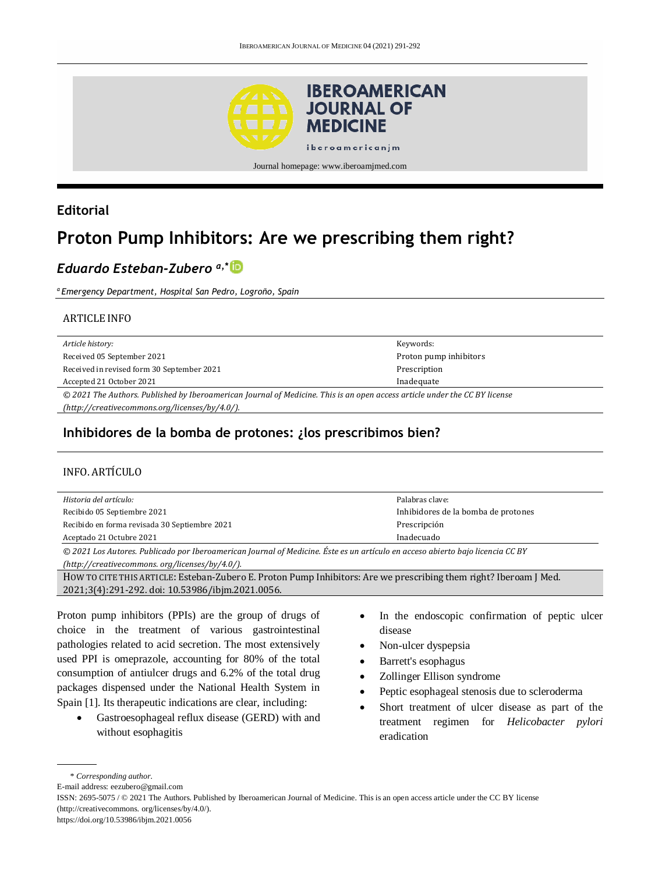

# **Editorial**

# **Proton Pump Inhibitors: Are we prescribing them right?**

# *Eduardo Esteban-Zubero a,\**

*<sup>a</sup>Emergency Department, Hospital San Pedro, Logroño, Spain*

#### ARTICLE INFO

| Article history:                                                                                                           | Keywords:              |
|----------------------------------------------------------------------------------------------------------------------------|------------------------|
| Received 05 September 2021                                                                                                 | Proton pump inhibitors |
| Received in revised form 30 September 2021                                                                                 | Prescription           |
| Accepted 21 October 2021                                                                                                   | Inadequate             |
| © 2021 The Authors. Published by Iberoamerican Journal of Medicine. This is an open access article under the CC BY license |                        |
|                                                                                                                            |                        |

## **Inhibidores de la bomba de protones: ¿los prescribimos bien?**

#### INFO. ARTÍCULO

| Historia del artículo:                        | Palabras clave:                     |
|-----------------------------------------------|-------------------------------------|
| Recibido 05 Septiembre 2021                   | Inhibidores de la bomba de protones |
| Recibido en forma revisada 30 Septiembre 2021 | Prescripción                        |
| Aceptado 21 Octubre 2021                      | Inadecuado                          |

*© 2021 Los Autores. Publicado por Iberoamerican Journal of Medicine. Éste es un artículo en acceso abierto bajo licencia CC BY (http:/[/creativecommons. org/licenses/by/4.0/\)](https://creativecommons.org/licenses/by/4.0/).*

HOW TO CITE THIS ARTICLE: Esteban-Zubero E. Proton Pump Inhibitors: Are we prescribing them right? Iberoam J Med. 2021;3(4):291-292. doi[: 10.53986/ibjm.2021.0056.](https://doi.org/10.53986/ibjm.2021.0056)

Proton pump inhibitors (PPIs) are the group of drugs of choice in the treatment of various gastrointestinal pathologies related to acid secretion. The most extensively used PPI is omeprazole, accounting for 80% of the total consumption of antiulcer drugs and 6.2% of the total drug packages dispensed under the National Health System in Spain [1]. Its therapeutic indications are clear, including:

- Gastroesophageal reflux disease (GERD) with and without esophagitis
- In the endoscopic confirmation of peptic ulcer disease
- Non-ulcer dyspepsia
- Barrett's esophagus
- Zollinger Ellison syndrome
- Peptic esophageal stenosis due to scleroderma
- Short treatment of ulcer disease as part of the treatment regimen for *Helicobacter pylori* eradication

<sup>\*</sup> *Corresponding author.*

E-mail address[: eezubero@gmail.com](mailto:eezubero@gmail.com)

ISSN: 2695-5075 / © 2021 The Authors. Published by Iberoamerican Journal of Medicine. This is an open access article under the CC BY license (http:/[/creativecommons. org/licenses/by/4.0/\)](https://creativecommons.org/licenses/by/4.0/).

<https://doi.org/10.53986/ibjm.2021.0056>